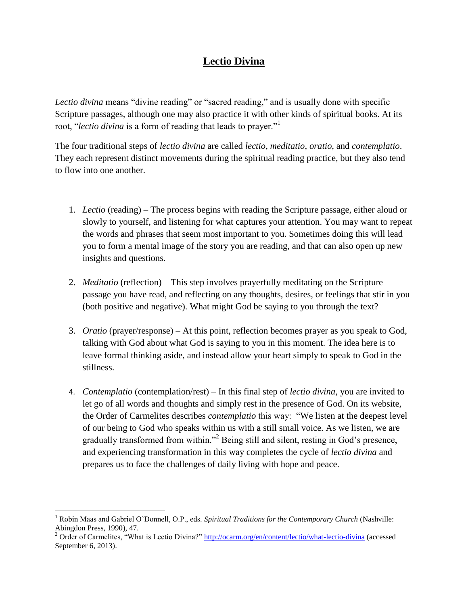## **Lectio Divina**

*Lectio divina* means "divine reading" or "sacred reading," and is usually done with specific Scripture passages, although one may also practice it with other kinds of spiritual books. At its root, "*lectio divina* is a form of reading that leads to prayer."<sup>1</sup>

The four traditional steps of *lectio divina* are called *lectio*, *meditatio*, *oratio*, and *contemplatio*. They each represent distinct movements during the spiritual reading practice, but they also tend to flow into one another.

- 1. *Lectio* (reading) The process begins with reading the Scripture passage, either aloud or slowly to yourself, and listening for what captures your attention. You may want to repeat the words and phrases that seem most important to you. Sometimes doing this will lead you to form a mental image of the story you are reading, and that can also open up new insights and questions.
- 2. *Meditatio* (reflection) This step involves prayerfully meditating on the Scripture passage you have read, and reflecting on any thoughts, desires, or feelings that stir in you (both positive and negative). What might God be saying to you through the text?
- 3. *Oratio* (prayer/response) At this point, reflection becomes prayer as you speak to God, talking with God about what God is saying to you in this moment. The idea here is to leave formal thinking aside, and instead allow your heart simply to speak to God in the stillness.
- 4. *Contemplatio* (contemplation/rest) In this final step of *lectio divina*, you are invited to let go of all words and thoughts and simply rest in the presence of God. On its website, the Order of Carmelites describes *contemplatio* this way: "We listen at the deepest level of our being to God who speaks within us with a still small voice. As we listen, we are gradually transformed from within."<sup>2</sup> Being still and silent, resting in God's presence, and experiencing transformation in this way completes the cycle of *lectio divina* and prepares us to face the challenges of daily living with hope and peace.

 $\overline{\phantom{a}}$ 

<sup>&</sup>lt;sup>1</sup> Robin Maas and Gabriel O'Donnell, O.P., eds. *Spiritual Traditions for the Contemporary Church* (Nashville: Abingdon Press, 1990), 47.

<sup>&</sup>lt;sup>2</sup> Order of Carmelites, "What is Lectio Divina?"<http://ocarm.org/en/content/lectio/what-lectio-divina> (accessed September 6, 2013).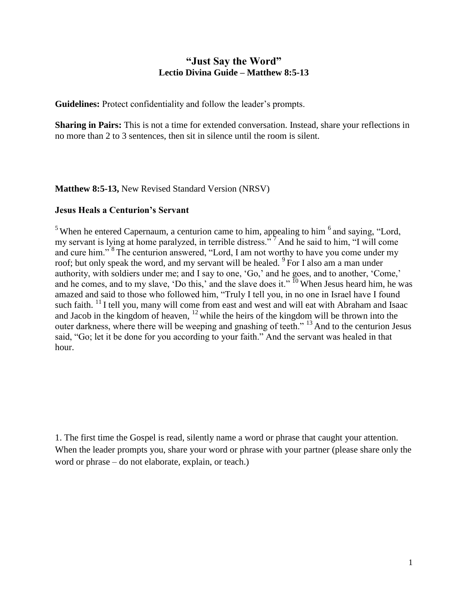## **"Just Say the Word" Lectio Divina Guide – Matthew 8:5-13**

**Guidelines:** Protect confidentiality and follow the leader's prompts.

**Sharing in Pairs:** This is not a time for extended conversation. Instead, share your reflections in no more than 2 to 3 sentences, then sit in silence until the room is silent.

**Matthew 8:5-13,** New Revised Standard Version (NRSV)

## **Jesus Heals a Centurion's Servant**

<sup>5</sup> When he entered Capernaum, a centurion came to him, appealing to him  $<sup>6</sup>$  and saying, "Lord,</sup> my servant is lying at home paralyzed, in terrible distress."<sup>7</sup> And he said to him, "I will come and cure him."<sup>8</sup>The centurion answered, "Lord, I am not worthy to have you come under my roof; but only speak the word, and my servant will be healed. <sup>9</sup>For I also am a man under authority, with soldiers under me; and I say to one, 'Go,' and he goes, and to another, 'Come,' and he comes, and to my slave, 'Do this,' and the slave does it."  $\frac{10}{10}$  When Jesus heard him, he was amazed and said to those who followed him, "Truly I tell you, in no one in Israel have I found such faith. <sup>11</sup> I tell you, many will come from east and west and will eat with Abraham and Isaac and Jacob in the kingdom of heaven,  $12$  while the heirs of the kingdom will be thrown into the outer darkness, where there will be weeping and gnashing of teeth."<sup>13</sup> And to the centurion Jesus said, "Go; let it be done for you according to your faith." And the servant was healed in that hour.

1. The first time the Gospel is read, silently name a word or phrase that caught your attention. When the leader prompts you, share your word or phrase with your partner (please share only the word or phrase – do not elaborate, explain, or teach.)